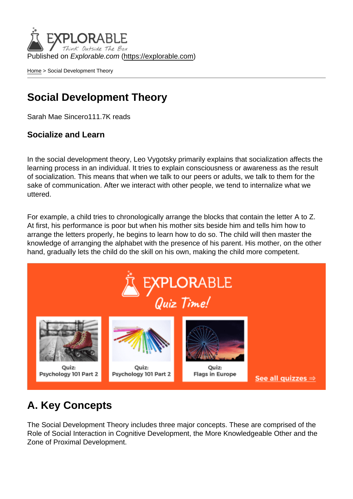Published on Explorable.com (<https://explorable.com>)

[Home](https://explorable.com/) > Social Development Theory

## Social Development Theory

Sarah Mae Sincero111.7K reads

Socialize and Learn

In the social development theory, Leo Vygotsky primarily explains that socialization affects the learning process in an individual. It tries to explain consciousness or awareness as the result of socialization. This means that when we talk to our peers or adults, we talk to them for the sake of communication. After we interact with other people, we tend to internalize what we uttered.

For example, a child tries to chronologically arrange the blocks that contain the letter A to Z. At first, his performance is poor but when his mother sits beside him and tells him how to arrange the letters properly, he begins to learn how to do so. The child will then master the knowledge of arranging the alphabet with the presence of his parent. His mother, on the other hand, gradually lets the child do the skill on his own, making the child more competent.

### A. Key Concepts

The Social Development Theory includes three major concepts. These are comprised of the Role of Social Interaction in Cognitive Development, the More Knowledgeable Other and the Zone of Proximal Development.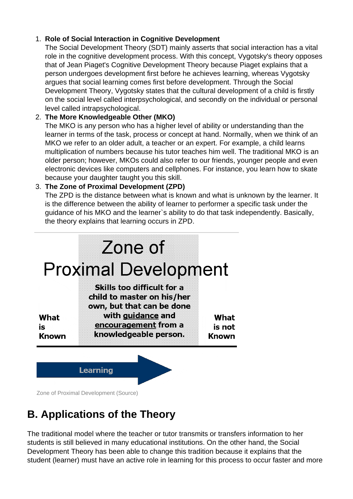#### 1. **Role of Social Interaction in Cognitive Development**

The Social Development Theory (SDT) mainly asserts that social interaction has a vital role in the cognitive development process. With this concept, Vygotsky's theory opposes that of Jean Piaget's Cognitive Development Theory because Piaget explains that a person undergoes development first before he achieves learning, whereas Vygotsky argues that social learning comes first before development. Through the Social Development Theory, Vygotsky states that the cultural development of a child is firstly on the social level called interpsychological, and secondly on the individual or personal level called intrapsychological.

#### 2. **The More Knowledgeable Other (MKO)**

The MKO is any person who has a higher level of ability or understanding than the learner in terms of the task, process or concept at hand. Normally, when we think of an MKO we refer to an older adult, a teacher or an expert. For example, a child learns multiplication of numbers because his tutor teaches him well. The traditional MKO is an older person; however, MKOs could also refer to our friends, younger people and even electronic devices like computers and cellphones. For instance, you learn how to skate because your daughter taught you this skill.

#### 3. **The Zone of Proximal Development (ZPD)**

The ZPD is the distance between what is known and what is unknown by the learner. It is the difference between the ability of learner to performer a specific task under the guidance of his MKO and the learner`s ability to do that task independently. Basically, the theory explains that learning occurs in ZPD.



Zone of Proximal Development (Source)

# **B. Applications of the Theory**

The traditional model where the teacher or tutor transmits or transfers information to her students is still believed in many educational institutions. On the other hand, the Social Development Theory has been able to change this tradition because it explains that the student (learner) must have an active role in learning for this process to occur faster and more